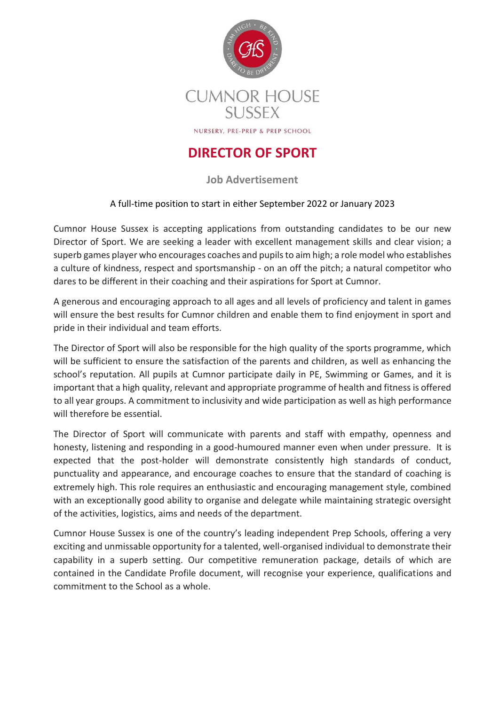

## **DIRECTOR OF SPORT**

**Job Advertisement**

## A full-time position to start in either September 2022 or January 2023

Cumnor House Sussex is accepting applications from outstanding candidates to be our new Director of Sport. We are seeking a leader with excellent management skills and clear vision; a superb games player who encourages coaches and pupils to aim high; a role model who establishes a culture of kindness, respect and sportsmanship - on an off the pitch; a natural competitor who dares to be different in their coaching and their aspirations for Sport at Cumnor.

A generous and encouraging approach to all ages and all levels of proficiency and talent in games will ensure the best results for Cumnor children and enable them to find enjoyment in sport and pride in their individual and team efforts.

The Director of Sport will also be responsible for the high quality of the sports programme, which will be sufficient to ensure the satisfaction of the parents and children, as well as enhancing the school's reputation. All pupils at Cumnor participate daily in PE, Swimming or Games, and it is important that a high quality, relevant and appropriate programme of health and fitness is offered to all year groups. A commitment to inclusivity and wide participation as well as high performance will therefore be essential.

The Director of Sport will communicate with parents and staff with empathy, openness and honesty, listening and responding in a good-humoured manner even when under pressure. It is expected that the post-holder will demonstrate consistently high standards of conduct, punctuality and appearance, and encourage coaches to ensure that the standard of coaching is extremely high. This role requires an enthusiastic and encouraging management style, combined with an exceptionally good ability to organise and delegate while maintaining strategic oversight of the activities, logistics, aims and needs of the department.

Cumnor House Sussex is one of the country's leading independent Prep Schools, offering a very exciting and unmissable opportunity for a talented, well-organised individual to demonstrate their capability in a superb setting. Our competitive remuneration package, details of which are contained in the Candidate Profile document, will recognise your experience, qualifications and commitment to the School as a whole.